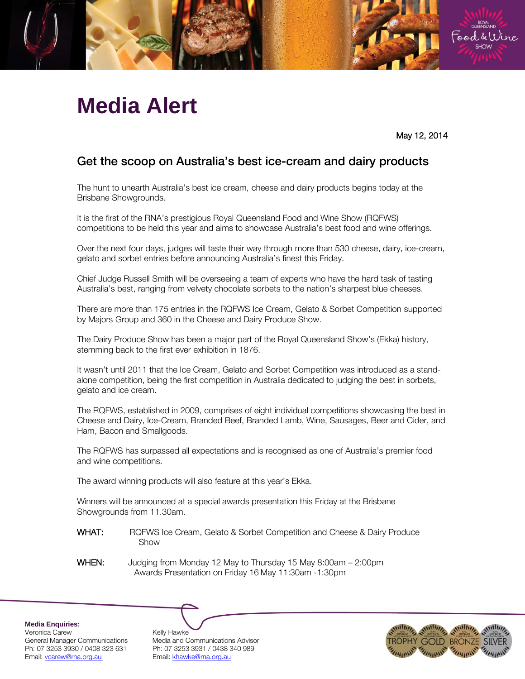

## **Media Alert**

May 12, 2014

## $\mathcal{L}_{\text{max}}$  on  $\mathcal{L}_{\text{max}}$  is best in Australia's best in  $\mathcal{L}_{\text{max}}$

The hunt to unearth Australia's best ice cream, cheese and dairy products begins today at the Brisbane Showgrounds.

It is the first of the RNA's prestigious Royal Queensland Food and Wine Show (RQFWS) competitions to be held this year and aims to showcase Australia's best food and wine offerings.

Over the next four days, judges will taste their way through more than 530 cheese, dairy, ice-cream, gelato and sorbet entries before announcing Australia's finest this Friday.

Chief Judge Russell Smith will be overseeing a team of experts who have the hard task of tasting Australia's best, ranging from velvety chocolate sorbets to the nation's sharpest blue cheeses.

There are more than 175 entries in the RQFWS Ice Cream, Gelato & Sorbet Competition supported by Majors Group and 360 in the Cheese and Dairy Produce Show.

The Dairy Produce Show has been a major part of the Royal Queensland Show's (Ekka) history, stemming back to the first ever exhibition in 1876.

It wasn't until 2011 that the Ice Cream, Gelato and Sorbet Competition was introduced as a standalone competition, being the first competition in Australia dedicated to judging the best in sorbets, gelato and ice cream.

The RQFWS, established in 2009, comprises of eight individual competitions showcasing the best in Cheese and Dairy, Ice-Cream, Branded Beef, Branded Lamb, Wine, Sausages, Beer and Cider, and Ham, Bacon and Smallgoods.

The RQFWS has surpassed all expectations and is recognised as one of Australia's premier food and wine competitions.

The award winning products will also feature at this year's Ekka.

Winners will be announced at a special awards presentation this Friday at the Brisbane Showgrounds from 11.30am.

- WHAT: RQFWS Ice Cream, Gelato & Sorbet Competition and Cheese & Dairy Produce Show
- WHEN: Judging from Monday 12 May to Thursday 15 May 8:00am 2:00pm Awards Presentation on Friday 16 May 11:30am -1:30pm

**Media Enquiries:**

Veronica Carew <br>General Manager Communications Media and C Email: vcarew@rna.org.au Email: khawke@rna.org.au

Media and Communications Advisor Ph: 07 3253 3930 / 0408 323 631 Ph: 07 3253 3931 / 0438 340 989